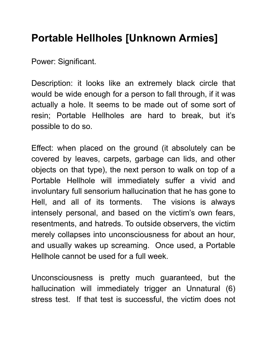## Portable Hellholes [Unknown Armies]

Power: Significant.

Description: it looks like an extremely black circle that would be wide enough for a person to fall through, if it was actually a hole. It seems to be made out of some sort of resin; Portable Hellholes are hard to break, but it's possible to do so.

Effect: when placed on the ground (it absolutely can be covered by leaves, carpets, garbage can lids, and other objects on that type), the next person to walk on top of a Portable Hellhole will immediately suffer a vivid and involuntary full sensorium hallucination that he has gone to Hell, and all of its torments. The visions is always intensely personal, and based on the victim's own fears, resentments, and hatreds. To outside observers, the victim merely collapses into unconsciousness for about an hour, and usually wakes up screaming. Once used, a Portable Hellhole cannot be used for a full week.

Unconsciousness is pretty much guaranteed, but the hallucination will immediately trigger an Unnatural (6) stress test. If that test is successful, the victim does not